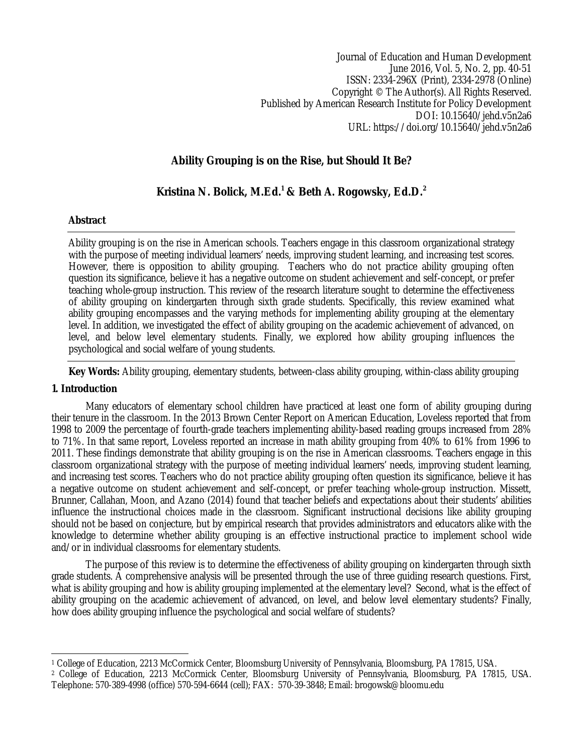Journal of Education and Human Development June 2016, Vol. 5, No. 2, pp. 40-51 ISSN: 2334-296X (Print), 2334-2978 (Online) Copyright © The Author(s). All Rights Reserved. Published by American Research Institute for Policy Development DOI: 10.15640/jehd.v5n2a6 URL: https://doi.org/10.15640/jehd.v5n2a6

# **Ability Grouping is on the Rise, but Should It Be?**

## **Kristina N. Bolick, M.Ed.<sup>1</sup> & Beth A. Rogowsky, Ed.D.<sup>2</sup>**

## **Abstract**

Ability grouping is on the rise in American schools. Teachers engage in this classroom organizational strategy with the purpose of meeting individual learners' needs, improving student learning, and increasing test scores. However, there is opposition to ability grouping. Teachers who do not practice ability grouping often question its significance, believe it has a negative outcome on student achievement and self-concept, or prefer teaching whole-group instruction. This review of the research literature sought to determine the effectiveness of ability grouping on kindergarten through sixth grade students. Specifically, this review examined what ability grouping encompasses and the varying methods for implementing ability grouping at the elementary level. In addition, we investigated the effect of ability grouping on the academic achievement of advanced, on level, and below level elementary students. Finally, we explored how ability grouping influences the psychological and social welfare of young students.

**Key Words:** Ability grouping, elementary students, between-class ability grouping, within-class ability grouping

## **1. Introduction**

Many educators of elementary school children have practiced at least one form of ability grouping during their tenure in the classroom. In the 2013 Brown Center Report on American Education, Loveless reported that from 1998 to 2009 the percentage of fourth-grade teachers implementing ability-based reading groups increased from 28% to 71%. In that same report, Loveless reported an increase in math ability grouping from 40% to 61% from 1996 to 2011. These findings demonstrate that ability grouping is on the rise in American classrooms. Teachers engage in this classroom organizational strategy with the purpose of meeting individual learners' needs, improving student learning, and increasing test scores. Teachers who do not practice ability grouping often question its significance, believe it has a negative outcome on student achievement and self-concept, or prefer teaching whole-group instruction. Missett, Brunner, Callahan, Moon, and Azano (2014) found that teacher beliefs and expectations about their students' abilities influence the instructional choices made in the classroom. Significant instructional decisions like ability grouping should not be based on conjecture, but by empirical research that provides administrators and educators alike with the knowledge to determine whether ability grouping is an effective instructional practice to implement school wide and/or in individual classrooms for elementary students.

The purpose of this review is to determine the effectiveness of ability grouping on kindergarten through sixth grade students. A comprehensive analysis will be presented through the use of three guiding research questions. First, what is ability grouping and how is ability grouping implemented at the elementary level? Second, what is the effect of ability grouping on the academic achievement of advanced, on level, and below level elementary students? Finally, how does ability grouping influence the psychological and social welfare of students?

 $\overline{\phantom{a}}$ <sup>1</sup> College of Education, 2213 McCormick Center, Bloomsburg University of Pennsylvania, Bloomsburg, PA 17815, USA.

<sup>2</sup> College of Education, 2213 McCormick Center, Bloomsburg University of Pennsylvania, Bloomsburg, PA 17815, USA. Telephone: 570-389-4998 (office) 570-594-6644 (cell); FAX: 570-39-3848; Email: brogowsk@bloomu.edu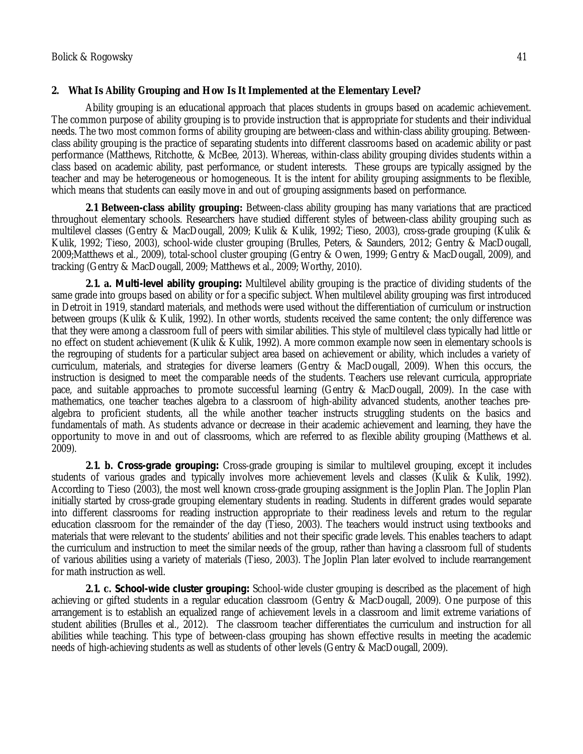## **2. What Is Ability Grouping and How Is It Implemented at the Elementary Level?**

Ability grouping is an educational approach that places students in groups based on academic achievement. The common purpose of ability grouping is to provide instruction that is appropriate for students and their individual needs. The two most common forms of ability grouping are between-class and within-class ability grouping. Betweenclass ability grouping is the practice of separating students into different classrooms based on academic ability or past performance (Matthews, Ritchotte, & McBee, 2013). Whereas, within-class ability grouping divides students within a class based on academic ability, past performance, or student interests. These groups are typically assigned by the teacher and may be heterogeneous or homogeneous. It is the intent for ability grouping assignments to be flexible, which means that students can easily move in and out of grouping assignments based on performance.

**2.1 Between-class ability grouping:** Between-class ability grouping has many variations that are practiced throughout elementary schools. Researchers have studied different styles of between-class ability grouping such as multilevel classes (Gentry & MacDougall, 2009; Kulik & Kulik, 1992; Tieso, 2003), cross-grade grouping (Kulik & Kulik, 1992; Tieso, 2003), school-wide cluster grouping (Brulles, Peters, & Saunders, 2012; Gentry & MacDougall, 2009;Matthews et al., 2009), total-school cluster grouping (Gentry & Owen, 1999; Gentry & MacDougall, 2009), and tracking (Gentry & MacDougall, 2009; Matthews et al., 2009; Worthy, 2010).

**2.1. a.** *Multi-level ability grouping:* Multilevel ability grouping is the practice of dividing students of the same grade into groups based on ability or for a specific subject. When multilevel ability grouping was first introduced in Detroit in 1919, standard materials, and methods were used without the differentiation of curriculum or instruction between groups (Kulik & Kulik, 1992). In other words, students received the same content; the only difference was that they were among a classroom full of peers with similar abilities. This style of multilevel class typically had little or no effect on student achievement (Kulik & Kulik, 1992). A more common example now seen in elementary schools is the regrouping of students for a particular subject area based on achievement or ability, which includes a variety of curriculum, materials, and strategies for diverse learners (Gentry & MacDougall, 2009). When this occurs, the instruction is designed to meet the comparable needs of the students. Teachers use relevant curricula, appropriate pace, and suitable approaches to promote successful learning (Gentry & MacDougall, 2009). In the case with mathematics, one teacher teaches algebra to a classroom of high-ability advanced students, another teaches prealgebra to proficient students, all the while another teacher instructs struggling students on the basics and fundamentals of math. As students advance or decrease in their academic achievement and learning, they have the opportunity to move in and out of classrooms, which are referred to as flexible ability grouping (Matthews et al. 2009).

**2.1. b.** *Cross-grade grouping:* Cross-grade grouping is similar to multilevel grouping, except it includes students of various grades and typically involves more achievement levels and classes (Kulik & Kulik, 1992). According to Tieso (2003), the most well known cross-grade grouping assignment is the Joplin Plan. The Joplin Plan initially started by cross-grade grouping elementary students in reading. Students in different grades would separate into different classrooms for reading instruction appropriate to their readiness levels and return to the regular education classroom for the remainder of the day (Tieso, 2003). The teachers would instruct using textbooks and materials that were relevant to the students' abilities and not their specific grade levels. This enables teachers to adapt the curriculum and instruction to meet the similar needs of the group, rather than having a classroom full of students of various abilities using a variety of materials (Tieso, 2003). The Joplin Plan later evolved to include rearrangement for math instruction as well.

**2.1. c.** *School-wide cluster grouping:* School-wide cluster grouping is described as the placement of high achieving or gifted students in a regular education classroom (Gentry & MacDougall, 2009). One purpose of this arrangement is to establish an equalized range of achievement levels in a classroom and limit extreme variations of student abilities (Brulles et al., 2012). The classroom teacher differentiates the curriculum and instruction for all abilities while teaching. This type of between-class grouping has shown effective results in meeting the academic needs of high-achieving students as well as students of other levels (Gentry & MacDougall, 2009).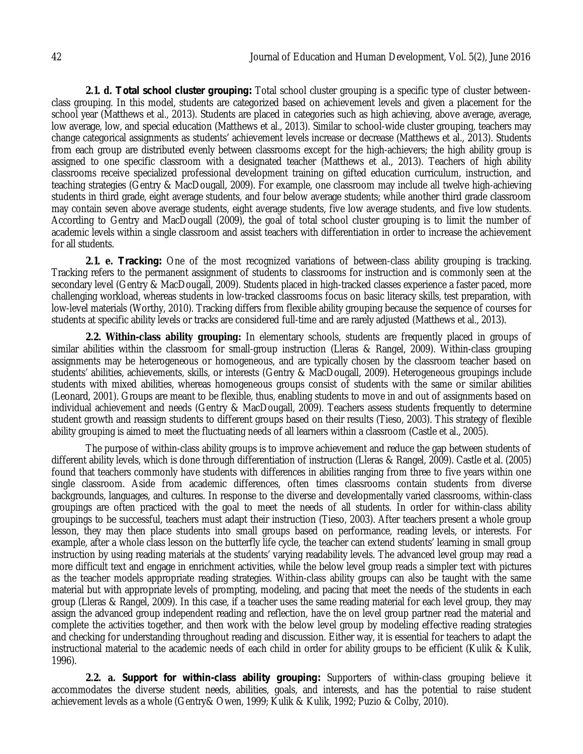**2.1. d.** *Total school cluster grouping:* Total school cluster grouping is a specific type of cluster betweenclass grouping. In this model, students are categorized based on achievement levels and given a placement for the school year (Matthews et al., 2013). Students are placed in categories such as high achieving, above average, average, low average, low, and special education (Matthews et al., 2013). Similar to school-wide cluster grouping, teachers may change categorical assignments as students' achievement levels increase or decrease (Matthews et al., 2013). Students from each group are distributed evenly between classrooms except for the high-achievers; the high ability group is assigned to one specific classroom with a designated teacher (Matthews et al., 2013). Teachers of high ability classrooms receive specialized professional development training on gifted education curriculum, instruction, and teaching strategies (Gentry & MacDougall, 2009). For example, one classroom may include all twelve high-achieving students in third grade, eight average students, and four below average students; while another third grade classroom may contain seven above average students, eight average students, five low average students, and five low students. According to Gentry and MacDougall (2009), the goal of total school cluster grouping is to limit the number of academic levels within a single classroom and assist teachers with differentiation in order to increase the achievement for all students.

**2.1. e.** *Tracking:* One of the most recognized variations of between-class ability grouping is tracking. Tracking refers to the permanent assignment of students to classrooms for instruction and is commonly seen at the secondary level (Gentry & MacDougall, 2009). Students placed in high-tracked classes experience a faster paced, more challenging workload, whereas students in low-tracked classrooms focus on basic literacy skills, test preparation, with low-level materials (Worthy, 2010). Tracking differs from flexible ability grouping because the sequence of courses for students at specific ability levels or tracks are considered full-time and are rarely adjusted (Matthews et al., 2013).

**2.2. Within-class ability grouping:** In elementary schools, students are frequently placed in groups of similar abilities within the classroom for small-group instruction (Lleras & Rangel, 2009). Within-class grouping assignments may be heterogeneous or homogeneous, and are typically chosen by the classroom teacher based on students' abilities, achievements, skills, or interests (Gentry & MacDougall, 2009). Heterogeneous groupings include students with mixed abilities, whereas homogeneous groups consist of students with the same or similar abilities (Leonard, 2001). Groups are meant to be flexible, thus, enabling students to move in and out of assignments based on individual achievement and needs (Gentry & MacDougall, 2009). Teachers assess students frequently to determine student growth and reassign students to different groups based on their results (Tieso, 2003). This strategy of flexible ability grouping is aimed to meet the fluctuating needs of all learners within a classroom (Castle et al., 2005).

The purpose of within-class ability groups is to improve achievement and reduce the gap between students of different ability levels, which is done through differentiation of instruction (Lleras & Rangel, 2009). Castle et al. (2005) found that teachers commonly have students with differences in abilities ranging from three to five years within one single classroom. Aside from academic differences, often times classrooms contain students from diverse backgrounds, languages, and cultures. In response to the diverse and developmentally varied classrooms, within-class groupings are often practiced with the goal to meet the needs of all students. In order for within-class ability groupings to be successful, teachers must adapt their instruction (Tieso, 2003). After teachers present a whole group lesson, they may then place students into small groups based on performance, reading levels, or interests. For example, after a whole class lesson on the butterfly life cycle, the teacher can extend students' learning in small group instruction by using reading materials at the students' varying readability levels. The advanced level group may read a more difficult text and engage in enrichment activities, while the below level group reads a simpler text with pictures as the teacher models appropriate reading strategies. Within-class ability groups can also be taught with the same material but with appropriate levels of prompting, modeling, and pacing that meet the needs of the students in each group (Lleras & Rangel, 2009). In this case, if a teacher uses the same reading material for each level group, they may assign the advanced group independent reading and reflection, have the on level group partner read the material and complete the activities together, and then work with the below level group by modeling effective reading strategies and checking for understanding throughout reading and discussion. Either way, it is essential for teachers to adapt the instructional material to the academic needs of each child in order for ability groups to be efficient (Kulik & Kulik, 1996).

**2.2. a.** *Support for within-class ability grouping:* Supporters of within-class grouping believe it accommodates the diverse student needs, abilities, goals, and interests, and has the potential to raise student achievement levels as a whole (Gentry& Owen, 1999; Kulik & Kulik, 1992; Puzio & Colby, 2010).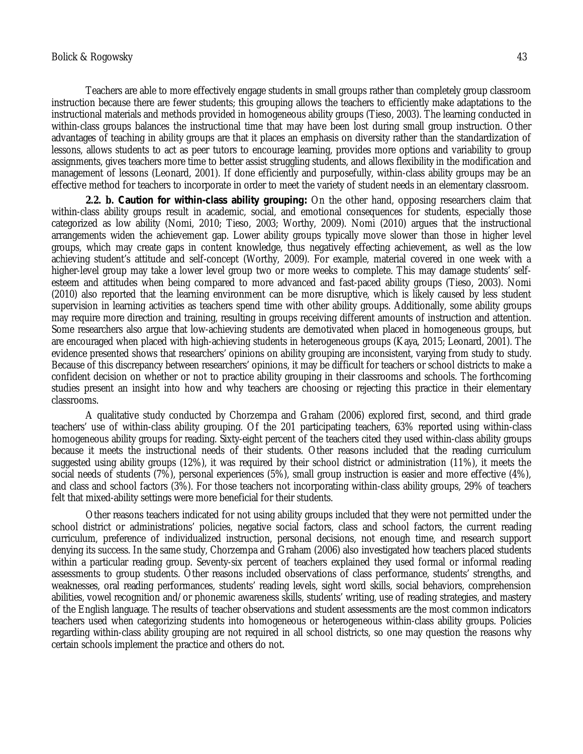Teachers are able to more effectively engage students in small groups rather than completely group classroom instruction because there are fewer students; this grouping allows the teachers to efficiently make adaptations to the instructional materials and methods provided in homogeneous ability groups (Tieso, 2003). The learning conducted in within-class groups balances the instructional time that may have been lost during small group instruction. Other advantages of teaching in ability groups are that it places an emphasis on diversity rather than the standardization of lessons, allows students to act as peer tutors to encourage learning, provides more options and variability to group assignments, gives teachers more time to better assist struggling students, and allows flexibility in the modification and management of lessons (Leonard, 2001). If done efficiently and purposefully, within-class ability groups may be an effective method for teachers to incorporate in order to meet the variety of student needs in an elementary classroom.

**2.2. b.** *Caution for within-class ability grouping:* On the other hand, opposing researchers claim that within-class ability groups result in academic, social, and emotional consequences for students, especially those categorized as low ability (Nomi, 2010; Tieso, 2003; Worthy, 2009). Nomi (2010) argues that the instructional arrangements widen the achievement gap. Lower ability groups typically move slower than those in higher level groups, which may create gaps in content knowledge, thus negatively effecting achievement, as well as the low achieving student's attitude and self-concept (Worthy, 2009). For example, material covered in one week with a higher-level group may take a lower level group two or more weeks to complete. This may damage students' selfesteem and attitudes when being compared to more advanced and fast-paced ability groups (Tieso, 2003). Nomi (2010) also reported that the learning environment can be more disruptive, which is likely caused by less student supervision in learning activities as teachers spend time with other ability groups. Additionally, some ability groups may require more direction and training, resulting in groups receiving different amounts of instruction and attention. Some researchers also argue that low-achieving students are demotivated when placed in homogeneous groups, but are encouraged when placed with high-achieving students in heterogeneous groups (Kaya, 2015; Leonard, 2001). The evidence presented shows that researchers' opinions on ability grouping are inconsistent, varying from study to study. Because of this discrepancy between researchers' opinions, it may be difficult for teachers or school districts to make a confident decision on whether or not to practice ability grouping in their classrooms and schools. The forthcoming studies present an insight into how and why teachers are choosing or rejecting this practice in their elementary classrooms.

A qualitative study conducted by Chorzempa and Graham (2006) explored first, second, and third grade teachers' use of within-class ability grouping. Of the 201 participating teachers, 63% reported using within-class homogeneous ability groups for reading. Sixty-eight percent of the teachers cited they used within-class ability groups because it meets the instructional needs of their students. Other reasons included that the reading curriculum suggested using ability groups (12%), it was required by their school district or administration (11%), it meets the social needs of students (7%), personal experiences (5%), small group instruction is easier and more effective (4%), and class and school factors (3%). For those teachers not incorporating within-class ability groups, 29% of teachers felt that mixed-ability settings were more beneficial for their students.

Other reasons teachers indicated for not using ability groups included that they were not permitted under the school district or administrations' policies, negative social factors, class and school factors, the current reading curriculum, preference of individualized instruction, personal decisions, not enough time, and research support denying its success. In the same study, Chorzempa and Graham (2006) also investigated how teachers placed students within a particular reading group. Seventy-six percent of teachers explained they used formal or informal reading assessments to group students. Other reasons included observations of class performance, students' strengths, and weaknesses, oral reading performances, students' reading levels, sight word skills, social behaviors, comprehension abilities, vowel recognition and/or phonemic awareness skills, students' writing, use of reading strategies, and mastery of the English language. The results of teacher observations and student assessments are the most common indicators teachers used when categorizing students into homogeneous or heterogeneous within-class ability groups. Policies regarding within-class ability grouping are not required in all school districts, so one may question the reasons why certain schools implement the practice and others do not.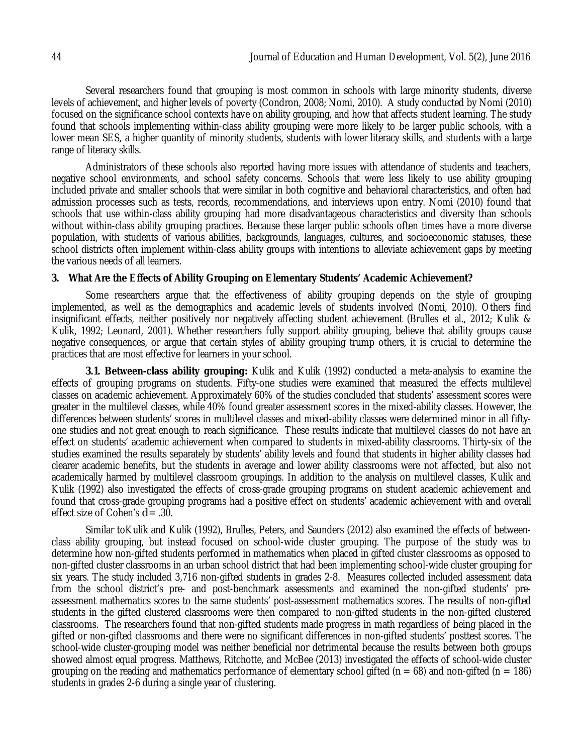Several researchers found that grouping is most common in schools with large minority students, diverse levels of achievement, and higher levels of poverty (Condron, 2008; Nomi, 2010). A study conducted by Nomi (2010) focused on the significance school contexts have on ability grouping, and how that affects student learning. The study found that schools implementing within-class ability grouping were more likely to be larger public schools, with a lower mean SES, a higher quantity of minority students, students with lower literacy skills, and students with a large range of literacy skills.

Administrators of these schools also reported having more issues with attendance of students and teachers, negative school environments, and school safety concerns. Schools that were less likely to use ability grouping included private and smaller schools that were similar in both cognitive and behavioral characteristics, and often had admission processes such as tests, records, recommendations, and interviews upon entry. Nomi (2010) found that schools that use within-class ability grouping had more disadvantageous characteristics and diversity than schools without within-class ability grouping practices. Because these larger public schools often times have a more diverse population, with students of various abilities, backgrounds, languages, cultures, and socioeconomic statuses, these school districts often implement within-class ability groups with intentions to alleviate achievement gaps by meeting the various needs of all learners.

## **3. What Are the Effects of Ability Grouping on Elementary Students' Academic Achievement?**

Some researchers argue that the effectiveness of ability grouping depends on the style of grouping implemented, as well as the demographics and academic levels of students involved (Nomi, 2010). Others find insignificant effects, neither positively nor negatively affecting student achievement (Brulles et al., 2012; Kulik & Kulik, 1992; Leonard, 2001). Whether researchers fully support ability grouping, believe that ability groups cause negative consequences, or argue that certain styles of ability grouping trump others, it is crucial to determine the practices that are most effective for learners in your school.

**3.1. Between-class ability grouping:** Kulik and Kulik (1992) conducted a meta-analysis to examine the effects of grouping programs on students. Fifty-one studies were examined that measured the effects multilevel classes on academic achievement. Approximately 60% of the studies concluded that students' assessment scores were greater in the multilevel classes, while 40% found greater assessment scores in the mixed-ability classes. However, the differences between students' scores in multilevel classes and mixed-ability classes were determined minor in all fiftyone studies and not great enough to reach significance. These results indicate that multilevel classes do not have an effect on students' academic achievement when compared to students in mixed-ability classrooms. Thirty-six of the studies examined the results separately by students' ability levels and found that students in higher ability classes had clearer academic benefits, but the students in average and lower ability classrooms were not affected, but also not academically harmed by multilevel classroom groupings. In addition to the analysis on multilevel classes, Kulik and Kulik (1992) also investigated the effects of cross-grade grouping programs on student academic achievement and found that cross-grade grouping programs had a positive effect on students' academic achievement with and overall effect size of Cohen's *d* = .30.

Similar toKulik and Kulik (1992), Brulles, Peters, and Saunders (2012) also examined the effects of betweenclass ability grouping, but instead focused on school-wide cluster grouping. The purpose of the study was to determine how non-gifted students performed in mathematics when placed in gifted cluster classrooms as opposed to non-gifted cluster classrooms in an urban school district that had been implementing school-wide cluster grouping for six years. The study included 3,716 non-gifted students in grades 2-8. Measures collected included assessment data from the school district's pre- and post-benchmark assessments and examined the non-gifted students' preassessment mathematics scores to the same students' post-assessment mathematics scores. The results of non-gifted students in the gifted clustered classrooms were then compared to non-gifted students in the non-gifted clustered classrooms. The researchers found that non-gifted students made progress in math regardless of being placed in the gifted or non-gifted classrooms and there were no significant differences in non-gifted students' posttest scores. The school-wide cluster-grouping model was neither beneficial nor detrimental because the results between both groups showed almost equal progress. Matthews, Ritchotte, and McBee (2013) investigated the effects of school-wide cluster grouping on the reading and mathematics performance of elementary school gifted ( $n = 68$ ) and non-gifted ( $n = 186$ ) students in grades 2-6 during a single year of clustering.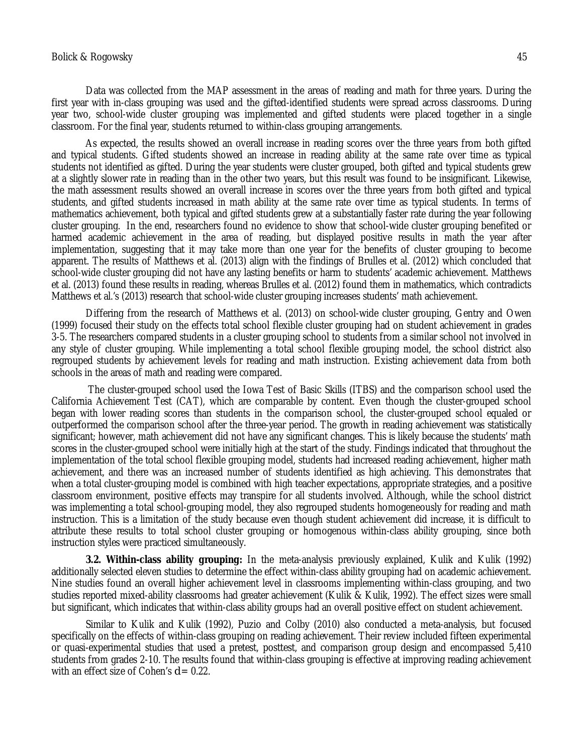#### Bolick & Rogowsky 45

Data was collected from the MAP assessment in the areas of reading and math for three years. During the first year with in-class grouping was used and the gifted-identified students were spread across classrooms. During year two, school-wide cluster grouping was implemented and gifted students were placed together in a single classroom. For the final year, students returned to within-class grouping arrangements.

As expected, the results showed an overall increase in reading scores over the three years from both gifted and typical students. Gifted students showed an increase in reading ability at the same rate over time as typical students not identified as gifted. During the year students were cluster grouped, both gifted and typical students grew at a slightly slower rate in reading than in the other two years, but this result was found to be insignificant. Likewise, the math assessment results showed an overall increase in scores over the three years from both gifted and typical students, and gifted students increased in math ability at the same rate over time as typical students. In terms of mathematics achievement, both typical and gifted students grew at a substantially faster rate during the year following cluster grouping. In the end, researchers found no evidence to show that school-wide cluster grouping benefited or harmed academic achievement in the area of reading, but displayed positive results in math the year after implementation, suggesting that it may take more than one year for the benefits of cluster grouping to become apparent. The results of Matthews et al. (2013) align with the findings of Brulles et al. (2012) which concluded that school-wide cluster grouping did not have any lasting benefits or harm to students' academic achievement. Matthews et al. (2013) found these results in reading, whereas Brulles et al. (2012) found them in mathematics, which contradicts Matthews et al.'s (2013) research that school-wide cluster grouping increases students' math achievement.

Differing from the research of Matthews et al. (2013) on school-wide cluster grouping, Gentry and Owen (1999) focused their study on the effects total school flexible cluster grouping had on student achievement in grades 3-5. The researchers compared students in a cluster grouping school to students from a similar school not involved in any style of cluster grouping. While implementing a total school flexible grouping model, the school district also regrouped students by achievement levels for reading and math instruction. Existing achievement data from both schools in the areas of math and reading were compared.

The cluster-grouped school used the Iowa Test of Basic Skills (ITBS) and the comparison school used the California Achievement Test (CAT), which are comparable by content. Even though the cluster-grouped school began with lower reading scores than students in the comparison school, the cluster-grouped school equaled or outperformed the comparison school after the three-year period. The growth in reading achievement was statistically significant; however, math achievement did not have any significant changes. This is likely because the students' math scores in the cluster-grouped school were initially high at the start of the study. Findings indicated that throughout the implementation of the total school flexible grouping model, students had increased reading achievement, higher math achievement, and there was an increased number of students identified as high achieving. This demonstrates that when a total cluster-grouping model is combined with high teacher expectations, appropriate strategies, and a positive classroom environment, positive effects may transpire for all students involved. Although, while the school district was implementing a total school-grouping model, they also regrouped students homogeneously for reading and math instruction. This is a limitation of the study because even though student achievement did increase, it is difficult to attribute these results to total school cluster grouping or homogenous within-class ability grouping, since both instruction styles were practiced simultaneously.

**3.2. Within-class ability grouping:** In the meta-analysis previously explained, Kulik and Kulik (1992) additionally selected eleven studies to determine the effect within-class ability grouping had on academic achievement. Nine studies found an overall higher achievement level in classrooms implementing within-class grouping, and two studies reported mixed-ability classrooms had greater achievement (Kulik & Kulik, 1992). The effect sizes were small but significant, which indicates that within-class ability groups had an overall positive effect on student achievement.

Similar to Kulik and Kulik (1992), Puzio and Colby (2010) also conducted a meta-analysis, but focused specifically on the effects of within-class grouping on reading achievement. Their review included fifteen experimental or quasi-experimental studies that used a pretest, posttest, and comparison group design and encompassed 5,410 students from grades 2-10. The results found that within-class grouping is effective at improving reading achievement with an effect size of Cohen's  $d = 0.22$ .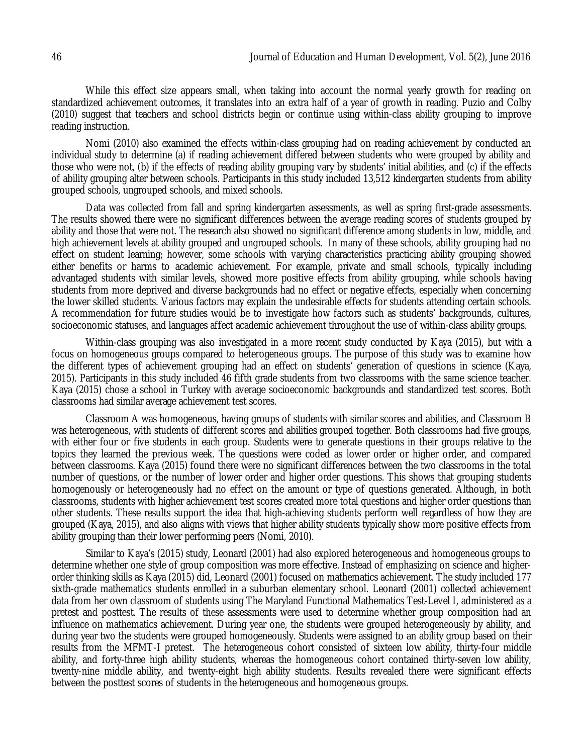While this effect size appears small, when taking into account the normal yearly growth for reading on standardized achievement outcomes, it translates into an extra half of a year of growth in reading. Puzio and Colby (2010) suggest that teachers and school districts begin or continue using within-class ability grouping to improve reading instruction.

Nomi (2010) also examined the effects within-class grouping had on reading achievement by conducted an individual study to determine (a) if reading achievement differed between students who were grouped by ability and those who were not, (b) if the effects of reading ability grouping vary by students' initial abilities, and (c) if the effects of ability grouping alter between schools. Participants in this study included 13,512 kindergarten students from ability grouped schools, ungrouped schools, and mixed schools.

Data was collected from fall and spring kindergarten assessments, as well as spring first-grade assessments. The results showed there were no significant differences between the average reading scores of students grouped by ability and those that were not. The research also showed no significant difference among students in low, middle, and high achievement levels at ability grouped and ungrouped schools. In many of these schools, ability grouping had no effect on student learning; however, some schools with varying characteristics practicing ability grouping showed either benefits or harms to academic achievement. For example, private and small schools, typically including advantaged students with similar levels, showed more positive effects from ability grouping, while schools having students from more deprived and diverse backgrounds had no effect or negative effects, especially when concerning the lower skilled students. Various factors may explain the undesirable effects for students attending certain schools. A recommendation for future studies would be to investigate how factors such as students' backgrounds, cultures, socioeconomic statuses, and languages affect academic achievement throughout the use of within-class ability groups.

Within-class grouping was also investigated in a more recent study conducted by Kaya (2015), but with a focus on homogeneous groups compared to heterogeneous groups. The purpose of this study was to examine how the different types of achievement grouping had an effect on students' generation of questions in science (Kaya, 2015). Participants in this study included 46 fifth grade students from two classrooms with the same science teacher. Kaya (2015) chose a school in Turkey with average socioeconomic backgrounds and standardized test scores. Both classrooms had similar average achievement test scores.

Classroom A was homogeneous, having groups of students with similar scores and abilities, and Classroom B was heterogeneous, with students of different scores and abilities grouped together. Both classrooms had five groups, with either four or five students in each group. Students were to generate questions in their groups relative to the topics they learned the previous week. The questions were coded as lower order or higher order, and compared between classrooms. Kaya (2015) found there were no significant differences between the two classrooms in the total number of questions, or the number of lower order and higher order questions. This shows that grouping students homogenously or heterogeneously had no effect on the amount or type of questions generated. Although, in both classrooms, students with higher achievement test scores created more total questions and higher order questions than other students. These results support the idea that high-achieving students perform well regardless of how they are grouped (Kaya, 2015), and also aligns with views that higher ability students typically show more positive effects from ability grouping than their lower performing peers (Nomi, 2010).

Similar to Kaya's (2015) study, Leonard (2001) had also explored heterogeneous and homogeneous groups to determine whether one style of group composition was more effective. Instead of emphasizing on science and higherorder thinking skills as Kaya (2015) did, Leonard (2001) focused on mathematics achievement. The study included 177 sixth-grade mathematics students enrolled in a suburban elementary school. Leonard (2001) collected achievement data from her own classroom of students using The Maryland Functional Mathematics Test-Level I, administered as a pretest and posttest. The results of these assessments were used to determine whether group composition had an influence on mathematics achievement. During year one, the students were grouped heterogeneously by ability, and during year two the students were grouped homogeneously. Students were assigned to an ability group based on their results from the MFMT-I pretest. The heterogeneous cohort consisted of sixteen low ability, thirty-four middle ability, and forty-three high ability students, whereas the homogeneous cohort contained thirty-seven low ability, twenty-nine middle ability, and twenty-eight high ability students. Results revealed there were significant effects between the posttest scores of students in the heterogeneous and homogeneous groups.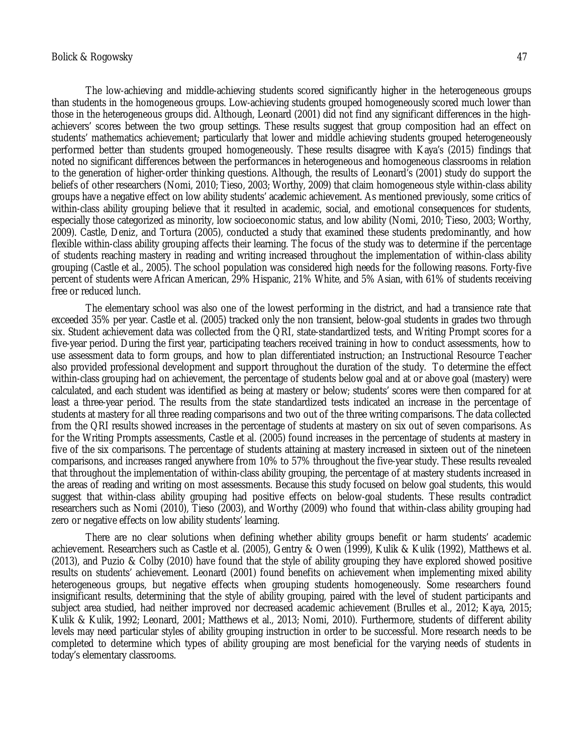The low-achieving and middle-achieving students scored significantly higher in the heterogeneous groups than students in the homogeneous groups. Low-achieving students grouped homogeneously scored much lower than those in the heterogeneous groups did. Although, Leonard (2001) did not find any significant differences in the highachievers' scores between the two group settings. These results suggest that group composition had an effect on students' mathematics achievement; particularly that lower and middle achieving students grouped heterogeneously performed better than students grouped homogeneously. These results disagree with Kaya's (2015) findings that noted no significant differences between the performances in heterogeneous and homogeneous classrooms in relation to the generation of higher-order thinking questions. Although, the results of Leonard's (2001) study do support the beliefs of other researchers (Nomi, 2010; Tieso, 2003; Worthy, 2009) that claim homogeneous style within-class ability groups have a negative effect on low ability students' academic achievement. As mentioned previously, some critics of within-class ability grouping believe that it resulted in academic, social, and emotional consequences for students, especially those categorized as minority, low socioeconomic status, and low ability (Nomi, 2010; Tieso, 2003; Worthy, 2009). Castle, Deniz, and Tortura (2005), conducted a study that examined these students predominantly, and how flexible within-class ability grouping affects their learning. The focus of the study was to determine if the percentage of students reaching mastery in reading and writing increased throughout the implementation of within-class ability grouping (Castle et al., 2005). The school population was considered high needs for the following reasons. Forty-five percent of students were African American, 29% Hispanic, 21% White, and 5% Asian, with 61% of students receiving free or reduced lunch.

The elementary school was also one of the lowest performing in the district, and had a transience rate that exceeded 35% per year. Castle et al. (2005) tracked only the non transient, below-goal students in grades two through six. Student achievement data was collected from the QRI, state-standardized tests, and Writing Prompt scores for a five-year period. During the first year, participating teachers received training in how to conduct assessments, how to use assessment data to form groups, and how to plan differentiated instruction; an Instructional Resource Teacher also provided professional development and support throughout the duration of the study. To determine the effect within-class grouping had on achievement, the percentage of students below goal and at or above goal (mastery) were calculated, and each student was identified as being at mastery or below; students' scores were then compared for at least a three-year period. The results from the state standardized tests indicated an increase in the percentage of students at mastery for all three reading comparisons and two out of the three writing comparisons. The data collected from the QRI results showed increases in the percentage of students at mastery on six out of seven comparisons. As for the Writing Prompts assessments, Castle et al. (2005) found increases in the percentage of students at mastery in five of the six comparisons. The percentage of students attaining at mastery increased in sixteen out of the nineteen comparisons, and increases ranged anywhere from 10% to 57% throughout the five-year study. These results revealed that throughout the implementation of within-class ability grouping, the percentage of at mastery students increased in the areas of reading and writing on most assessments. Because this study focused on below goal students, this would suggest that within-class ability grouping had positive effects on below-goal students. These results contradict researchers such as Nomi (2010), Tieso (2003), and Worthy (2009) who found that within-class ability grouping had zero or negative effects on low ability students' learning.

There are no clear solutions when defining whether ability groups benefit or harm students' academic achievement. Researchers such as Castle et al. (2005), Gentry & Owen (1999), Kulik & Kulik (1992), Matthews et al. (2013), and Puzio & Colby (2010) have found that the style of ability grouping they have explored showed positive results on students' achievement. Leonard (2001) found benefits on achievement when implementing mixed ability heterogeneous groups, but negative effects when grouping students homogeneously. Some researchers found insignificant results, determining that the style of ability grouping, paired with the level of student participants and subject area studied, had neither improved nor decreased academic achievement (Brulles et al., 2012; Kaya, 2015; Kulik & Kulik, 1992; Leonard, 2001; Matthews et al., 2013; Nomi, 2010). Furthermore, students of different ability levels may need particular styles of ability grouping instruction in order to be successful. More research needs to be completed to determine which types of ability grouping are most beneficial for the varying needs of students in today's elementary classrooms.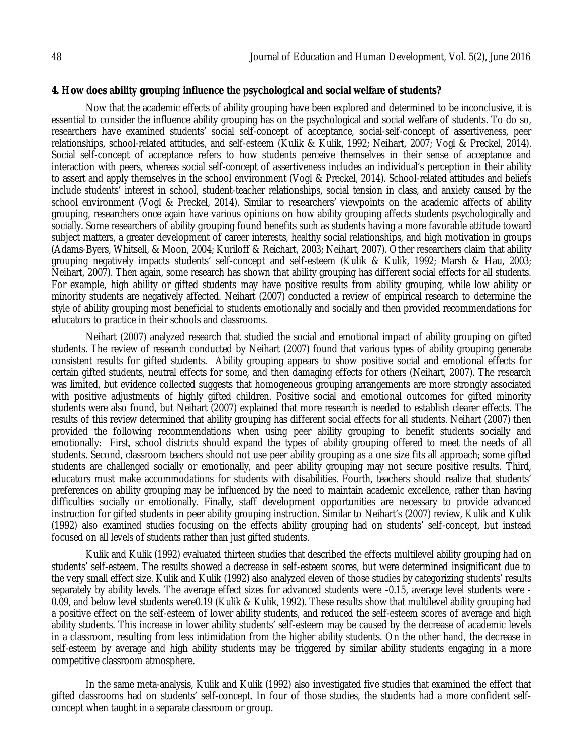### **4. How does ability grouping influence the psychological and social welfare of students?**

Now that the academic effects of ability grouping have been explored and determined to be inconclusive, it is essential to consider the influence ability grouping has on the psychological and social welfare of students. To do so, researchers have examined students' social self-concept of acceptance, social-self-concept of assertiveness, peer relationships, school-related attitudes, and self-esteem (Kulik & Kulik, 1992; Neihart, 2007; Vogl & Preckel, 2014). Social self-concept of acceptance refers to how students perceive themselves in their sense of acceptance and interaction with peers, whereas social self-concept of assertiveness includes an individual's perception in their ability to assert and apply themselves in the school environment (Vogl & Preckel, 2014). School-related attitudes and beliefs include students' interest in school, student-teacher relationships, social tension in class, and anxiety caused by the school environment (Vogl & Preckel, 2014). Similar to researchers' viewpoints on the academic affects of ability grouping, researchers once again have various opinions on how ability grouping affects students psychologically and socially. Some researchers of ability grouping found benefits such as students having a more favorable attitude toward subject matters, a greater development of career interests, healthy social relationships, and high motivation in groups (Adams-Byers, Whitsell, & Moon, 2004; Kuriloff & Reichart, 2003; Neihart, 2007). Other researchers claim that ability grouping negatively impacts students' self-concept and self-esteem (Kulik & Kulik, 1992; Marsh & Hau, 2003; Neihart, 2007). Then again, some research has shown that ability grouping has different social effects for all students. For example, high ability or gifted students may have positive results from ability grouping, while low ability or minority students are negatively affected. Neihart (2007) conducted a review of empirical research to determine the style of ability grouping most beneficial to students emotionally and socially and then provided recommendations for educators to practice in their schools and classrooms.

Neihart (2007) analyzed research that studied the social and emotional impact of ability grouping on gifted students. The review of research conducted by Neihart (2007) found that various types of ability grouping generate consistent results for gifted students. Ability grouping appears to show positive social and emotional effects for certain gifted students, neutral effects for some, and then damaging effects for others (Neihart, 2007). The research was limited, but evidence collected suggests that homogeneous grouping arrangements are more strongly associated with positive adjustments of highly gifted children. Positive social and emotional outcomes for gifted minority students were also found, but Neihart (2007) explained that more research is needed to establish clearer effects. The results of this review determined that ability grouping has different social effects for all students. Neihart (2007) then provided the following recommendations when using peer ability grouping to benefit students socially and emotionally: First, school districts should expand the types of ability grouping offered to meet the needs of all students. Second, classroom teachers should not use peer ability grouping as a one size fits all approach; some gifted students are challenged socially or emotionally, and peer ability grouping may not secure positive results. Third, educators must make accommodations for students with disabilities. Fourth, teachers should realize that students' preferences on ability grouping may be influenced by the need to maintain academic excellence, rather than having difficulties socially or emotionally. Finally, staff development opportunities are necessary to provide advanced instruction for gifted students in peer ability grouping instruction. Similar to Neihart's (2007) review, Kulik and Kulik (1992) also examined studies focusing on the effects ability grouping had on students' self-concept, but instead focused on all levels of students rather than just gifted students.

Kulik and Kulik (1992) evaluated thirteen studies that described the effects multilevel ability grouping had on students' self-esteem. The results showed a decrease in self-esteem scores, but were determined insignificant due to the very small effect size. Kulik and Kulik (1992) also analyzed eleven of those studies by categorizing students' results separately by ability levels. The average effect sizes for advanced students were **-**0.15, average level students were - 0.09, and below level students were0.19 (Kulik & Kulik, 1992). These results show that multilevel ability grouping had a positive effect on the self-esteem of lower ability students, and reduced the self-esteem scores of average and high ability students. This increase in lower ability students' self-esteem may be caused by the decrease of academic levels in a classroom, resulting from less intimidation from the higher ability students. On the other hand, the decrease in self-esteem by average and high ability students may be triggered by similar ability students engaging in a more competitive classroom atmosphere.

In the same meta-analysis, Kulik and Kulik (1992) also investigated five studies that examined the effect that gifted classrooms had on students' self-concept. In four of those studies, the students had a more confident selfconcept when taught in a separate classroom or group.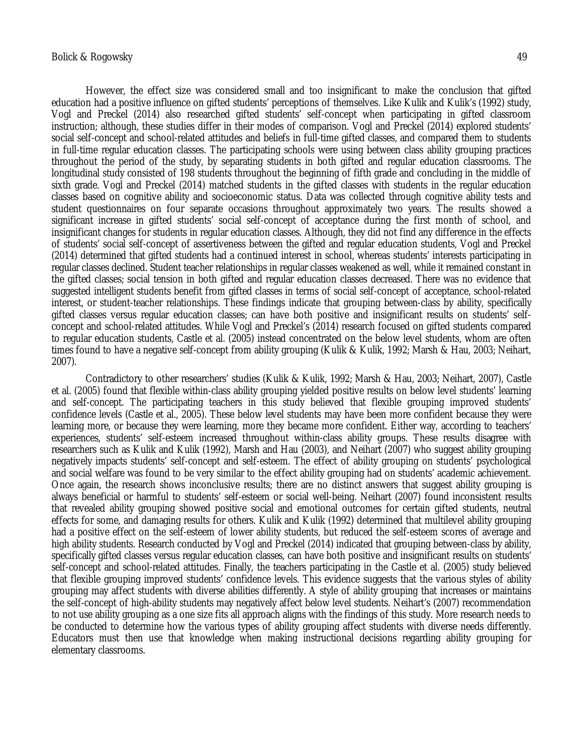However, the effect size was considered small and too insignificant to make the conclusion that gifted education had a positive influence on gifted students' perceptions of themselves. Like Kulik and Kulik's (1992) study, Vogl and Preckel (2014) also researched gifted students' self-concept when participating in gifted classroom instruction; although, these studies differ in their modes of comparison. Vogl and Preckel (2014) explored students' social self-concept and school-related attitudes and beliefs in full-time gifted classes, and compared them to students in full-time regular education classes. The participating schools were using between class ability grouping practices throughout the period of the study, by separating students in both gifted and regular education classrooms. The longitudinal study consisted of 198 students throughout the beginning of fifth grade and concluding in the middle of sixth grade. Vogl and Preckel (2014) matched students in the gifted classes with students in the regular education classes based on cognitive ability and socioeconomic status. Data was collected through cognitive ability tests and student questionnaires on four separate occasions throughout approximately two years. The results showed a significant increase in gifted students' social self-concept of acceptance during the first month of school, and insignificant changes for students in regular education classes. Although, they did not find any difference in the effects of students' social self-concept of assertiveness between the gifted and regular education students, Vogl and Preckel (2014) determined that gifted students had a continued interest in school, whereas students' interests participating in regular classes declined. Student teacher relationships in regular classes weakened as well, while it remained constant in the gifted classes; social tension in both gifted and regular education classes decreased. There was no evidence that suggested intelligent students benefit from gifted classes in terms of social self-concept of acceptance, school-related interest, or student-teacher relationships. These findings indicate that grouping between-class by ability, specifically gifted classes versus regular education classes; can have both positive and insignificant results on students' selfconcept and school-related attitudes. While Vogl and Preckel's (2014) research focused on gifted students compared to regular education students, Castle et al. (2005) instead concentrated on the below level students, whom are often times found to have a negative self-concept from ability grouping (Kulik & Kulik, 1992; Marsh & Hau, 2003; Neihart, 2007).

Contradictory to other researchers' studies (Kulik & Kulik, 1992; Marsh & Hau, 2003; Neihart, 2007), Castle et al. (2005) found that flexible within-class ability grouping yielded positive results on below level students' learning and self-concept. The participating teachers in this study believed that flexible grouping improved students' confidence levels (Castle et al., 2005). These below level students may have been more confident because they were learning more, or because they were learning, more they became more confident. Either way, according to teachers' experiences, students' self-esteem increased throughout within-class ability groups. These results disagree with researchers such as Kulik and Kulik (1992), Marsh and Hau (2003), and Neihart (2007) who suggest ability grouping negatively impacts students' self-concept and self-esteem. The effect of ability grouping on students' psychological and social welfare was found to be very similar to the effect ability grouping had on students' academic achievement. Once again, the research shows inconclusive results; there are no distinct answers that suggest ability grouping is always beneficial or harmful to students' self-esteem or social well-being. Neihart (2007) found inconsistent results that revealed ability grouping showed positive social and emotional outcomes for certain gifted students, neutral effects for some, and damaging results for others. Kulik and Kulik (1992) determined that multilevel ability grouping had a positive effect on the self-esteem of lower ability students, but reduced the self-esteem scores of average and high ability students. Research conducted by Vogl and Preckel (2014) indicated that grouping between-class by ability, specifically gifted classes versus regular education classes, can have both positive and insignificant results on students' self-concept and school-related attitudes. Finally, the teachers participating in the Castle et al. (2005) study believed that flexible grouping improved students' confidence levels. This evidence suggests that the various styles of ability grouping may affect students with diverse abilities differently. A style of ability grouping that increases or maintains the self-concept of high-ability students may negatively affect below level students. Neihart's (2007) recommendation to not use ability grouping as a one size fits all approach aligns with the findings of this study. More research needs to be conducted to determine how the various types of ability grouping affect students with diverse needs differently. Educators must then use that knowledge when making instructional decisions regarding ability grouping for elementary classrooms.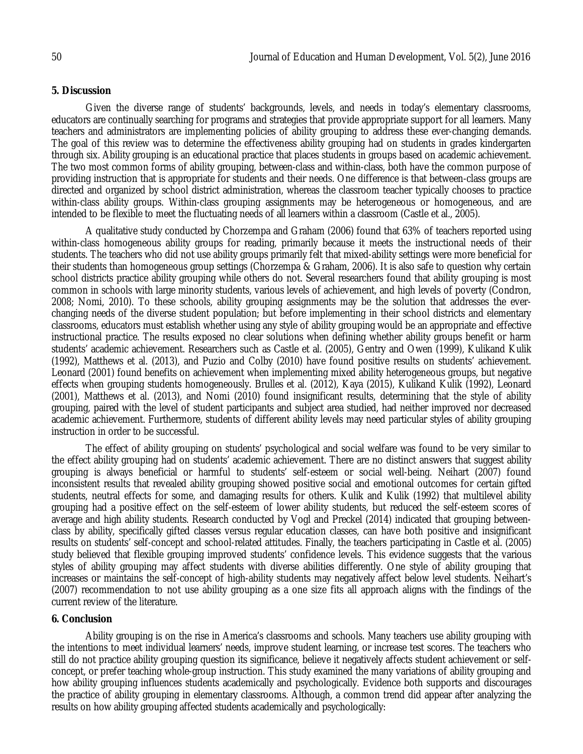### **5. Discussion**

Given the diverse range of students' backgrounds, levels, and needs in today's elementary classrooms, educators are continually searching for programs and strategies that provide appropriate support for all learners. Many teachers and administrators are implementing policies of ability grouping to address these ever-changing demands. The goal of this review was to determine the effectiveness ability grouping had on students in grades kindergarten through six. Ability grouping is an educational practice that places students in groups based on academic achievement. The two most common forms of ability grouping, between-class and within-class, both have the common purpose of providing instruction that is appropriate for students and their needs. One difference is that between-class groups are directed and organized by school district administration, whereas the classroom teacher typically chooses to practice within-class ability groups. Within-class grouping assignments may be heterogeneous or homogeneous, and are intended to be flexible to meet the fluctuating needs of all learners within a classroom (Castle et al., 2005).

A qualitative study conducted by Chorzempa and Graham (2006) found that 63% of teachers reported using within-class homogeneous ability groups for reading, primarily because it meets the instructional needs of their students. The teachers who did not use ability groups primarily felt that mixed-ability settings were more beneficial for their students than homogeneous group settings (Chorzempa & Graham, 2006). It is also safe to question why certain school districts practice ability grouping while others do not. Several researchers found that ability grouping is most common in schools with large minority students, various levels of achievement, and high levels of poverty (Condron, 2008; Nomi, 2010). To these schools, ability grouping assignments may be the solution that addresses the everchanging needs of the diverse student population; but before implementing in their school districts and elementary classrooms, educators must establish whether using any style of ability grouping would be an appropriate and effective instructional practice. The results exposed no clear solutions when defining whether ability groups benefit or harm students' academic achievement. Researchers such as Castle et al. (2005), Gentry and Owen (1999), Kulikand Kulik (1992), Matthews et al. (2013), and Puzio and Colby (2010) have found positive results on students' achievement. Leonard (2001) found benefits on achievement when implementing mixed ability heterogeneous groups, but negative effects when grouping students homogeneously. Brulles et al. (2012), Kaya (2015), Kulikand Kulik (1992), Leonard (2001), Matthews et al. (2013), and Nomi (2010) found insignificant results, determining that the style of ability grouping, paired with the level of student participants and subject area studied, had neither improved nor decreased academic achievement. Furthermore, students of different ability levels may need particular styles of ability grouping instruction in order to be successful.

The effect of ability grouping on students' psychological and social welfare was found to be very similar to the effect ability grouping had on students' academic achievement. There are no distinct answers that suggest ability grouping is always beneficial or harmful to students' self-esteem or social well-being. Neihart (2007) found inconsistent results that revealed ability grouping showed positive social and emotional outcomes for certain gifted students, neutral effects for some, and damaging results for others. Kulik and Kulik (1992) that multilevel ability grouping had a positive effect on the self-esteem of lower ability students, but reduced the self-esteem scores of average and high ability students. Research conducted by Vogl and Preckel (2014) indicated that grouping betweenclass by ability, specifically gifted classes versus regular education classes, can have both positive and insignificant results on students' self-concept and school-related attitudes. Finally, the teachers participating in Castle et al. (2005) study believed that flexible grouping improved students' confidence levels. This evidence suggests that the various styles of ability grouping may affect students with diverse abilities differently. One style of ability grouping that increases or maintains the self-concept of high-ability students may negatively affect below level students. Neihart's (2007) recommendation to not use ability grouping as a one size fits all approach aligns with the findings of the current review of the literature.

## **6. Conclusion**

Ability grouping is on the rise in America's classrooms and schools. Many teachers use ability grouping with the intentions to meet individual learners' needs, improve student learning, or increase test scores. The teachers who still do not practice ability grouping question its significance, believe it negatively affects student achievement or selfconcept, or prefer teaching whole-group instruction. This study examined the many variations of ability grouping and how ability grouping influences students academically and psychologically. Evidence both supports and discourages the practice of ability grouping in elementary classrooms. Although, a common trend did appear after analyzing the results on how ability grouping affected students academically and psychologically: